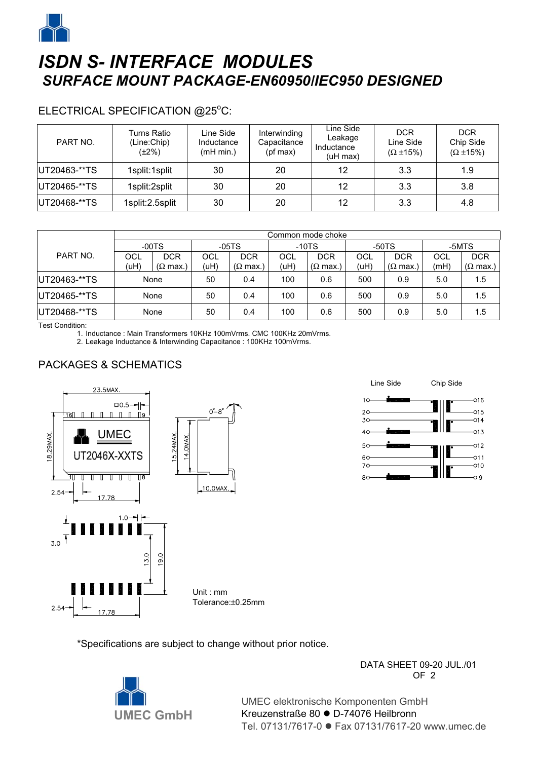

# *ISDN S- INTERFACE MODULES SURFACE MOUNT PACKAGE-EN60950/IEC950 DESIGNED*

#### ELECTRICAL SPECIFICATION @25°C:

| PART NO.      | Turns Ratio<br>(Line:Chip)<br>(±2%) | Line Side<br>Inductance<br>(mH min.) | Interwinding<br>Capacitance<br>(pf max) | Line Side<br>Leakage<br>Inductance<br>(uH max) | <b>DCR</b><br>Line Side<br>$(\Omega \pm 15\%)$ | <b>DCR</b><br>Chip Side<br>$(\Omega \pm 15\%)$ |
|---------------|-------------------------------------|--------------------------------------|-----------------------------------------|------------------------------------------------|------------------------------------------------|------------------------------------------------|
| UT20463-**TS  | 1split:1split                       | 30                                   | 20                                      | 12                                             | 3.3                                            | 1.9                                            |
| UT20465-**TS  | 1split:2split                       | 30                                   | 20                                      | 12                                             | 3.3                                            | 3.8                                            |
| IUT20468-**TS | 1split: 2.5split                    | 30                                   | 20                                      | 12                                             | 3.3                                            | 4.8                                            |

|               | Common mode choke |                         |         |                         |         |                         |         |                         |       |                         |
|---------------|-------------------|-------------------------|---------|-------------------------|---------|-------------------------|---------|-------------------------|-------|-------------------------|
| PART NO.      | $-00TS$           |                         | $-05TS$ |                         | $-10TS$ |                         | $-50TS$ |                         | -5MTS |                         |
|               | OCL               | <b>DCR</b>              | OCL     | <b>DCR</b>              | OCL     | <b>DCR</b>              | OCL     | <b>DCR</b>              | OCL   | <b>DCR</b>              |
|               | (uH)              | $(\Omega \text{ max.})$ | (uH)    | $(\Omega \text{ max.})$ | (uH)    | $(\Omega \text{ max.})$ | (uH)    | $(\Omega \text{ max.})$ | (mH)  | $(\Omega \text{ max.})$ |
| UT20463-**TS  | None              |                         | 50      | 0.4                     | 100     | 0.6                     | 500     | 0.9                     | 5.0   | 1.5                     |
| IUT20465-**TS | None              |                         | 50      | 0.4                     | 100     | 0.6                     | 500     | 0.9                     | 5.0   | 1.5                     |
| UT20468-**TS  | None              |                         | 50      | 0.4                     | 100     | 0.6                     | 500     | 0.9                     | 5.0   | 1.5                     |

Test Condition:

1. Inductance : Main Transformers 10KHz 100mVrms. CMC 100KHz 20mVrms.

2. Leakage Inductance & Interwinding Capacitance : 100KHz 100mVrms.

### PACKAGES & SCHEMATICS



\*Specifications are subject to change without prior notice.



 $\overline{OP}$  2 UMEC elektronische Komponenten GmbH

DATA SHEET 09-20 JUL./01

Kreuzenstraße 80 · D-74076 Heilbronn Tel. 07131/7617-0 ● Fax 07131/7617-20 www.umec.de